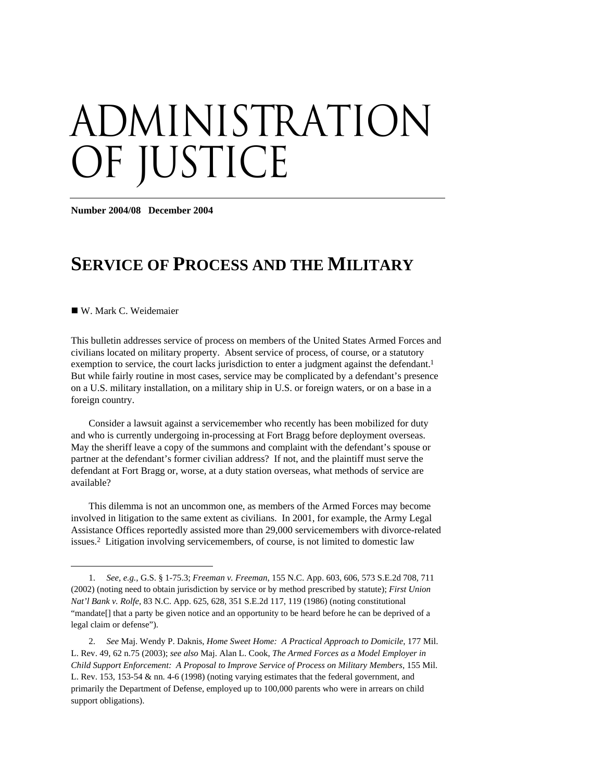# administration OF JUSTICE

**Number 2004/08 December 2004** 

## **SERVICE OF PROCESS AND THE MILITARY**

W. Mark C. Weidemaier

 $\overline{a}$ 

This bulletin addresses service of process on members of the United States Armed Forces and civilians located on military property. Absent service of process, of course, or a statutory exemption to service, the court lacks jurisdiction to enter a judgment against the defendant.<sup>1</sup> But while fairly routine in most cases, service may be complicated by a defendant's presence on a U.S. military installation, on a military ship in U.S. or foreign waters, or on a base in a foreign country.

Consider a lawsuit against a servicemember who recently has been mobilized for duty and who is currently undergoing in-processing at Fort Bragg before deployment overseas. May the sheriff leave a copy of the summons and complaint with the defendant's spouse or partner at the defendant's former civilian address? If not, and the plaintiff must serve the defendant at Fort Bragg or, worse, at a duty station overseas, what methods of service are available?

This dilemma is not an uncommon one, as members of the Armed Forces may become involved in litigation to the same extent as civilians. In 2001, for example, the Army Legal Assistance Offices reportedly assisted more than 29,000 servicemembers with divorce-related issues.2 Litigation involving servicemembers, of course, is not limited to domestic law

<sup>1.</sup> *See, e.g.,* G.S. § 1-75.3; *Freeman v. Freeman*, 155 N.C. App. 603, 606, 573 S.E.2d 708, 711 (2002) (noting need to obtain jurisdiction by service or by method prescribed by statute); *First Union Nat'l Bank v. Rolfe*, 83 N.C. App. 625, 628, 351 S.E.2d 117, 119 (1986) (noting constitutional "mandate[] that a party be given notice and an opportunity to be heard before he can be deprived of a legal claim or defense").

<sup>2.</sup> *See* Maj. Wendy P. Daknis, *Home Sweet Home: A Practical Approach to Domicile*, 177 Mil. L. Rev. 49, 62 n.75 (2003); *see also* Maj. Alan L. Cook, *The Armed Forces as a Model Employer in Child Support Enforcement: A Proposal to Improve Service of Process on Military Members*, 155 Mil. L. Rev. 153, 153-54 & nn. 4-6 (1998) (noting varying estimates that the federal government, and primarily the Department of Defense, employed up to 100,000 parents who were in arrears on child support obligations).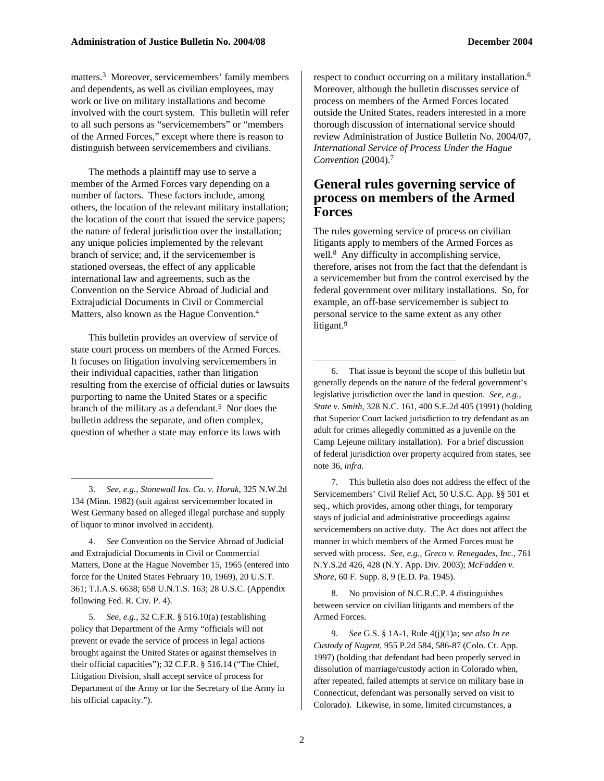matters.3 Moreover, servicemembers' family members and dependents, as well as civilian employees, may work or live on military installations and become involved with the court system. This bulletin will refer to all such persons as "servicemembers" or "members of the Armed Forces," except where there is reason to distinguish between servicemembers and civilians.

The methods a plaintiff may use to serve a member of the Armed Forces vary depending on a number of factors. These factors include, among others, the location of the relevant military installation; the location of the court that issued the service papers; the nature of federal jurisdiction over the installation; any unique policies implemented by the relevant branch of service; and, if the servicemember is stationed overseas, the effect of any applicable international law and agreements, such as the Convention on the Service Abroad of Judicial and Extrajudicial Documents in Civil or Commercial Matters, also known as the Hague Convention.4

This bulletin provides an overview of service of state court process on members of the Armed Forces. It focuses on litigation involving servicemembers in their individual capacities, rather than litigation resulting from the exercise of official duties or lawsuits purporting to name the United States or a specific branch of the military as a defendant.<sup>5</sup> Nor does the bulletin address the separate, and often complex, question of whether a state may enforce its laws with

 $\overline{a}$ 

5. *See, e.g.,* 32 C.F.R. § 516.10(a) (establishing policy that Department of the Army "officials will not prevent or evade the service of process in legal actions brought against the United States or against themselves in their official capacities"); 32 C.F.R. § 516.14 ("The Chief, Litigation Division, shall accept service of process for Department of the Army or for the Secretary of the Army in his official capacity.").

respect to conduct occurring on a military installation.<sup>6</sup> Moreover, although the bulletin discusses service of process on members of the Armed Forces located outside the United States, readers interested in a more thorough discussion of international service should review Administration of Justice Bulletin No. 2004/07, *International Service of Process Under the Hague Convention* (2004).7

#### **General rules governing service of process on members of the Armed Forces**

The rules governing service of process on civilian litigants apply to members of the Armed Forces as well.<sup>8</sup> Any difficulty in accomplishing service, therefore, arises not from the fact that the defendant is a servicemember but from the control exercised by the federal government over military installations. So, for example, an off-base servicemember is subject to personal service to the same extent as any other litigant.<sup>9</sup>

6. That issue is beyond the scope of this bulletin but generally depends on the nature of the federal government's legislative jurisdiction over the land in question. *See, e.g., State v. Smith*, 328 N.C. 161, 400 S.E.2d 405 (1991) (holding that Superior Court lacked jurisdiction to try defendant as an adult for crimes allegedly committed as a juvenile on the Camp Lejeune military installation). For a brief discussion of federal jurisdiction over property acquired from states, see note 36, *infra*.

7. This bulletin also does not address the effect of the Servicemembers' Civil Relief Act, 50 U.S.C. App. §§ 501 et seq., which provides, among other things, for temporary stays of judicial and administrative proceedings against servicemembers on active duty. The Act does not affect the manner in which members of the Armed Forces must be served with process. *See, e.g., Greco v. Renegades, Inc.*, 761 N.Y.S.2d 426, 428 (N.Y. App. Div. 2003); *McFadden v. Shore*, 60 F. Supp. 8, 9 (E.D. Pa. 1945).

8. No provision of N.C.R.C.P. 4 distinguishes between service on civilian litigants and members of the Armed Forces.

9. *See* G.S. § 1A-1, Rule 4(j)(1)a; *see also In re Custody of Nugent*, 955 P.2d 584, 586-87 (Colo. Ct. App. 1997) (holding that defendant had been properly served in dissolution of marriage/custody action in Colorado when, after repeated, failed attempts at service on military base in Connecticut, defendant was personally served on visit to Colorado). Likewise, in some, limited circumstances, a

<sup>3.</sup> *See, e.g., Stonewall Ins. Co. v. Horak*, 325 N.W.2d 134 (Minn. 1982) (suit against servicemember located in West Germany based on alleged illegal purchase and supply of liquor to minor involved in accident).

<sup>4.</sup> *See* Convention on the Service Abroad of Judicial and Extrajudicial Documents in Civil or Commercial Matters, Done at the Hague November 15, 1965 (entered into force for the United States February 10, 1969), 20 U.S.T. 361; T.I.A.S. 6638; 658 U.N.T.S. 163; 28 U.S.C. (Appendix following Fed. R. Civ. P. 4).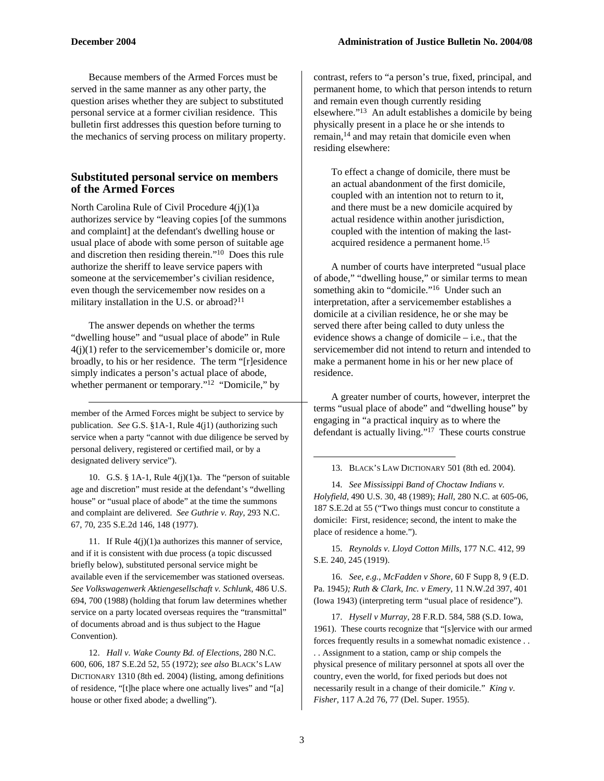-

Because members of the Armed Forces must be served in the same manner as any other party, the question arises whether they are subject to substituted personal service at a former civilian residence. This bulletin first addresses this question before turning to the mechanics of serving process on military property.

#### **Substituted personal service on members of the Armed Forces**

North Carolina Rule of Civil Procedure 4(j)(1)a authorizes service by "leaving copies [of the summons and complaint] at the defendant's dwelling house or usual place of abode with some person of suitable age and discretion then residing therein."10 Does this rule authorize the sheriff to leave service papers with someone at the servicemember's civilian residence, even though the servicemember now resides on a military installation in the U.S. or abroad?<sup>11</sup>

The answer depends on whether the terms "dwelling house" and "usual place of abode" in Rule  $4(j)(1)$  refer to the servicemember's domicile or, more broadly, to his or her residence. The term "[r]esidence simply indicates a person's actual place of abode, whether permanent or temporary."<sup>12</sup> "Domicile," by

member of the Armed Forces might be subject to service by publication. *See* G.S. §1A-1, Rule 4(j1) (authorizing such service when a party "cannot with due diligence be served by personal delivery, registered or certified mail, or by a designated delivery service").

10. G.S. § 1A-1, Rule 4(j)(1)a. The "person of suitable age and discretion" must reside at the defendant's "dwelling house" or "usual place of abode" at the time the summons and complaint are delivered. *See Guthrie v. Ray*, 293 N.C. 67, 70, 235 S.E.2d 146, 148 (1977).

11. If Rule 4(j)(1)a authorizes this manner of service, and if it is consistent with due process (a topic discussed briefly below), substituted personal service might be available even if the servicemember was stationed overseas. *See Volkswagenwerk Aktiengesellschaft v. Schlunk*, 486 U.S. 694, 700 (1988) (holding that forum law determines whether service on a party located overseas requires the "transmittal" of documents abroad and is thus subject to the Hague Convention).

12. *Hall v. Wake County Bd. of Elections,* 280 N.C. 600, 606, 187 S.E.2d 52, 55 (1972); *see also* BLACK'S LAW DICTIONARY 1310 (8th ed. 2004) (listing, among definitions of residence, "[t]he place where one actually lives" and "[a] house or other fixed abode; a dwelling").

contrast, refers to "a person's true, fixed, principal, and permanent home, to which that person intends to return and remain even though currently residing elsewhere."13 An adult establishes a domicile by being physically present in a place he or she intends to remain,14 and may retain that domicile even when residing elsewhere:

To effect a change of domicile, there must be an actual abandonment of the first domicile, coupled with an intention not to return to it, and there must be a new domicile acquired by actual residence within another jurisdiction, coupled with the intention of making the lastacquired residence a permanent home.15

A number of courts have interpreted "usual place of abode," "dwelling house," or similar terms to mean something akin to "domicile."<sup>16</sup> Under such an interpretation, after a servicemember establishes a domicile at a civilian residence, he or she may be served there after being called to duty unless the evidence shows a change of domicile – i.e., that the servicemember did not intend to return and intended to make a permanent home in his or her new place of residence.

A greater number of courts, however, interpret the terms "usual place of abode" and "dwelling house" by engaging in "a practical inquiry as to where the defendant is actually living."17 These courts construe

#### 13. BLACK'S LAW DICTIONARY 501 (8th ed. 2004).

14. *See Mississippi Band of Choctaw Indians v. Holyfield*, 490 U.S. 30, 48 (1989); *Hall,* 280 N.C. at 605-06, 187 S.E.2d at 55 ("Two things must concur to constitute a domicile: First, residence; second, the intent to make the place of residence a home.").

15. *Reynolds v. Lloyd Cotton Mills*, 177 N.C. 412, 99 S.E. 240, 245 (1919).

16. *See, e.g., McFadden v Shore*, 60 F Supp 8, 9 (E.D. Pa. 1945*); Ruth & Clark, Inc. v Emery*, 11 N.W.2d 397, 401 (Iowa 1943) (interpreting term "usual place of residence").

17. *Hysell v Murray*, 28 F.R.D. 584, 588 (S.D. Iowa, 1961). These courts recognize that "[s]ervice with our armed forces frequently results in a somewhat nomadic existence . . . . Assignment to a station, camp or ship compels the physical presence of military personnel at spots all over the country, even the world, for fixed periods but does not necessarily result in a change of their domicile." *King v. Fisher*, 117 A.2d 76, 77 (Del. Super. 1955).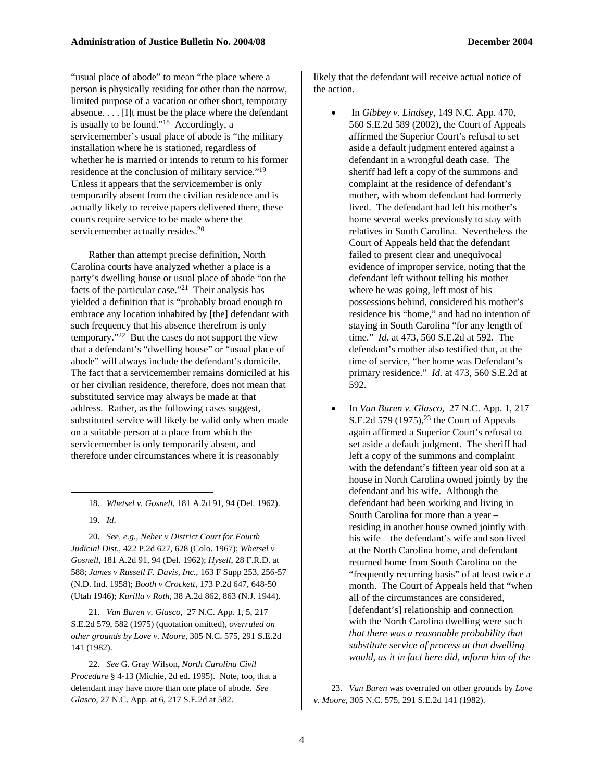"usual place of abode" to mean "the place where a person is physically residing for other than the narrow, limited purpose of a vacation or other short, temporary absence. . . . [I]t must be the place where the defendant is usually to be found."18 Accordingly, a servicemember's usual place of abode is "the military installation where he is stationed, regardless of whether he is married or intends to return to his former residence at the conclusion of military service."19 Unless it appears that the servicemember is only temporarily absent from the civilian residence and is actually likely to receive papers delivered there, these courts require service to be made where the servicemember actually resides.<sup>20</sup>

Rather than attempt precise definition, North Carolina courts have analyzed whether a place is a party's dwelling house or usual place of abode "on the facts of the particular case."21 Their analysis has yielded a definition that is "probably broad enough to embrace any location inhabited by [the] defendant with such frequency that his absence therefrom is only temporary."22 But the cases do not support the view that a defendant's "dwelling house" or "usual place of abode" will always include the defendant's domicile. The fact that a servicemember remains domiciled at his or her civilian residence, therefore, does not mean that substituted service may always be made at that address. Rather, as the following cases suggest, substituted service will likely be valid only when made on a suitable person at a place from which the servicemember is only temporarily absent, and therefore under circumstances where it is reasonably

18. *Whetsel v. Gosnell*, 181 A.2d 91, 94 (Del. 1962). 19. *Id.*

 $\overline{a}$ 

20. *See, e.g., Neher v District Court for Fourth Judicial Dist*., 422 P.2d 627, 628 (Colo. 1967); *Whetsel v Gosnell*, 181 A.2d 91, 94 (Del. 1962); *Hysell*, 28 F.R.D. at 588; *James v Russell F. Davis, Inc.*, 163 F Supp 253, 256-57 (N.D. Ind. 1958); *Booth v Crockett*, 173 P.2d 647, 648-50 (Utah 1946); *Kurilla v Roth*, 38 A.2d 862, 863 (N.J. 1944).

21. *Van Buren v. Glasco*, 27 N.C. App. 1, 5, 217 S.E.2d 579, 582 (1975) (quotation omitted), *overruled on other grounds by Love v. Moore*, 305 N.C. 575, 291 S.E.2d 141 (1982).

22. *See* G. Gray Wilson, *North Carolina Civil Procedure* § 4-13 (Michie, 2d ed. 1995). Note, too, that a defendant may have more than one place of abode. *See Glasco*, 27 N.C. App. at 6, 217 S.E.2d at 582.

likely that the defendant will receive actual notice of the action.

- In *Gibbey v. Lindsey*, 149 N.C. App. 470, 560 S.E.2d 589 (2002), the Court of Appeals affirmed the Superior Court's refusal to set aside a default judgment entered against a defendant in a wrongful death case. The sheriff had left a copy of the summons and complaint at the residence of defendant's mother, with whom defendant had formerly lived. The defendant had left his mother's home several weeks previously to stay with relatives in South Carolina. Nevertheless the Court of Appeals held that the defendant failed to present clear and unequivocal evidence of improper service, noting that the defendant left without telling his mother where he was going, left most of his possessions behind, considered his mother's residence his "home," and had no intention of staying in South Carolina "for any length of time." *Id.* at 473, 560 S.E.2d at 592. The defendant's mother also testified that, at the time of service, "her home was Defendant's primary residence." *Id.* at 473, 560 S.E.2d at 592.
- In *Van Buren v. Glasco*, 27 N.C. App. 1, 217 S.E.2d 579 (1975),<sup>23</sup> the Court of Appeals again affirmed a Superior Court's refusal to set aside a default judgment. The sheriff had left a copy of the summons and complaint with the defendant's fifteen year old son at a house in North Carolina owned jointly by the defendant and his wife. Although the defendant had been working and living in South Carolina for more than a year – residing in another house owned jointly with his wife – the defendant's wife and son lived at the North Carolina home, and defendant returned home from South Carolina on the "frequently recurring basis" of at least twice a month. The Court of Appeals held that "when all of the circumstances are considered, [defendant's] relationship and connection with the North Carolina dwelling were such *that there was a reasonable probability that substitute service of process at that dwelling would, as it in fact here did, inform him of the*

-

<sup>23.</sup> *Van Buren* was overruled on other grounds by *Love v. Moore*, 305 N.C. 575, 291 S.E.2d 141 (1982).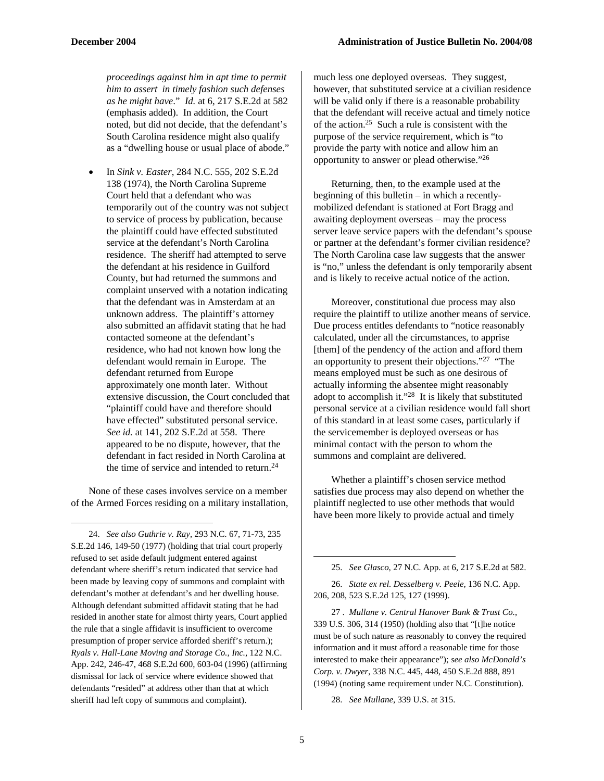*proceedings against him in apt time to permit him to assert in timely fashion such defenses as he might have*." *Id.* at 6, 217 S.E.2d at 582 (emphasis added). In addition, the Court noted, but did not decide, that the defendant's South Carolina residence might also qualify as a "dwelling house or usual place of abode."

• In *Sink v. Easter*, 284 N.C. 555, 202 S.E.2d 138 (1974), the North Carolina Supreme Court held that a defendant who was temporarily out of the country was not subject to service of process by publication, because the plaintiff could have effected substituted service at the defendant's North Carolina residence. The sheriff had attempted to serve the defendant at his residence in Guilford County, but had returned the summons and complaint unserved with a notation indicating that the defendant was in Amsterdam at an unknown address. The plaintiff's attorney also submitted an affidavit stating that he had contacted someone at the defendant's residence, who had not known how long the defendant would remain in Europe. The defendant returned from Europe approximately one month later. Without extensive discussion, the Court concluded that "plaintiff could have and therefore should have effected" substituted personal service. *See id.* at 141, 202 S.E.2d at 558. There appeared to be no dispute, however, that the defendant in fact resided in North Carolina at the time of service and intended to return.<sup>24</sup>

None of these cases involves service on a member of the Armed Forces residing on a military installation,

 $\overline{a}$ 

24. *See also Guthrie v. Ray*, 293 N.C. 67, 71-73, 235 S.E.2d 146, 149-50 (1977) (holding that trial court properly refused to set aside default judgment entered against defendant where sheriff's return indicated that service had been made by leaving copy of summons and complaint with defendant's mother at defendant's and her dwelling house. Although defendant submitted affidavit stating that he had resided in another state for almost thirty years, Court applied the rule that a single affidavit is insufficient to overcome presumption of proper service afforded sheriff's return.); *Ryals v. Hall-Lane Moving and Storage Co., Inc.*, 122 N.C. App. 242, 246-47, 468 S.E.2d 600, 603-04 (1996) (affirming dismissal for lack of service where evidence showed that defendants "resided" at address other than that at which sheriff had left copy of summons and complaint).

much less one deployed overseas. They suggest, however, that substituted service at a civilian residence will be valid only if there is a reasonable probability that the defendant will receive actual and timely notice of the action.25 Such a rule is consistent with the purpose of the service requirement, which is "to provide the party with notice and allow him an opportunity to answer or plead otherwise."26

Returning, then, to the example used at the beginning of this bulletin – in which a recentlymobilized defendant is stationed at Fort Bragg and awaiting deployment overseas – may the process server leave service papers with the defendant's spouse or partner at the defendant's former civilian residence? The North Carolina case law suggests that the answer is "no," unless the defendant is only temporarily absent and is likely to receive actual notice of the action.

Moreover, constitutional due process may also require the plaintiff to utilize another means of service. Due process entitles defendants to "notice reasonably calculated, under all the circumstances, to apprise [them] of the pendency of the action and afford them an opportunity to present their objections."27 "The means employed must be such as one desirous of actually informing the absentee might reasonably adopt to accomplish it."28 It is likely that substituted personal service at a civilian residence would fall short of this standard in at least some cases, particularly if the servicemember is deployed overseas or has minimal contact with the person to whom the summons and complaint are delivered.

Whether a plaintiff's chosen service method satisfies due process may also depend on whether the plaintiff neglected to use other methods that would have been more likely to provide actual and timely

26. *State ex rel. Desselberg v. Peele*, 136 N.C. App. 206, 208, 523 S.E.2d 125, 127 (1999).

27 . *Mullane v. Central Hanover Bank & Trust Co.*, 339 U.S. 306, 314 (1950) (holding also that "[t]he notice must be of such nature as reasonably to convey the required information and it must afford a reasonable time for those interested to make their appearance"); *see also McDonald's Corp. v. Dwyer*, 338 N.C. 445, 448, 450 S.E.2d 888, 891 (1994) (noting same requirement under N.C. Constitution).

28. *See Mullane*, 339 U.S. at 315.

<sup>25.</sup> *See Glasco*, 27 N.C. App. at 6, 217 S.E.2d at 582.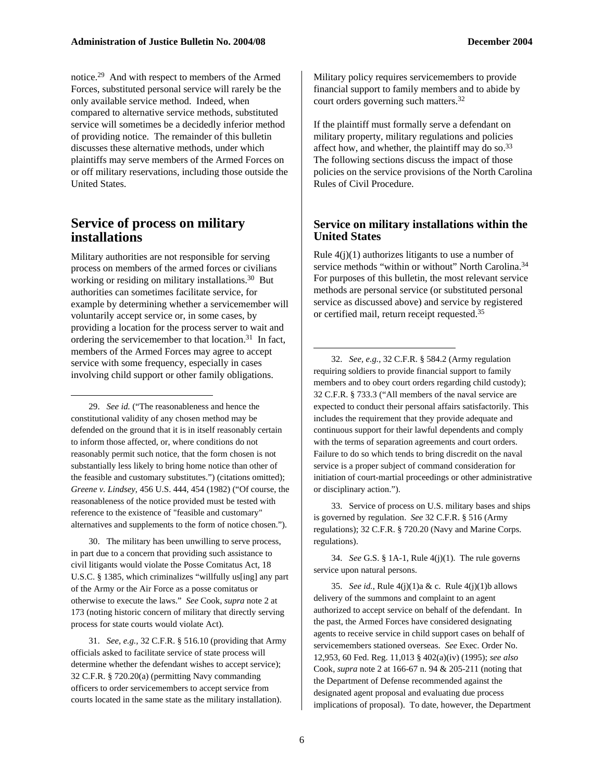notice.29 And with respect to members of the Armed Forces, substituted personal service will rarely be the only available service method. Indeed, when compared to alternative service methods, substituted service will sometimes be a decidedly inferior method of providing notice. The remainder of this bulletin discusses these alternative methods, under which plaintiffs may serve members of the Armed Forces on or off military reservations, including those outside the United States.

#### **Service of process on military installations**

 $\overline{a}$ 

Military authorities are not responsible for serving process on members of the armed forces or civilians working or residing on military installations.<sup>30</sup> But authorities can sometimes facilitate service, for example by determining whether a servicemember will voluntarily accept service or, in some cases, by providing a location for the process server to wait and ordering the servicemember to that location.31 In fact, members of the Armed Forces may agree to accept service with some frequency, especially in cases involving child support or other family obligations.

29. *See id.* ("The reasonableness and hence the constitutional validity of any chosen method may be defended on the ground that it is in itself reasonably certain to inform those affected, or, where conditions do not reasonably permit such notice, that the form chosen is not substantially less likely to bring home notice than other of the feasible and customary substitutes.") (citations omitted); *Greene v. Lindsey*, 456 U.S. 444, 454 (1982) ("Of course, the reasonableness of the notice provided must be tested with reference to the existence of "feasible and customary" alternatives and supplements to the form of notice chosen.").

30. The military has been unwilling to serve process, in part due to a concern that providing such assistance to civil litigants would violate the Posse Comitatus Act, 18 U.S.C. § 1385, which criminalizes "willfully us[ing] any part of the Army or the Air Force as a posse comitatus or otherwise to execute the laws." *See* Cook, *supra* note 2 at 173 (noting historic concern of military that directly serving process for state courts would violate Act).

31. *See, e.g.,* 32 C.F.R. § 516.10 (providing that Army officials asked to facilitate service of state process will determine whether the defendant wishes to accept service); 32 C.F.R. § 720.20(a) (permitting Navy commanding officers to order servicemembers to accept service from courts located in the same state as the military installation).

Military policy requires servicemembers to provide financial support to family members and to abide by court orders governing such matters.32

If the plaintiff must formally serve a defendant on military property, military regulations and policies affect how, and whether, the plaintiff may do so.<sup>33</sup> The following sections discuss the impact of those policies on the service provisions of the North Carolina Rules of Civil Procedure.

#### **Service on military installations within the United States**

Rule  $4(j)(1)$  authorizes litigants to use a number of service methods "within or without" North Carolina.<sup>34</sup> For purposes of this bulletin, the most relevant service methods are personal service (or substituted personal service as discussed above) and service by registered or certified mail, return receipt requested.35

32. *See, e.g.,* 32 C.F.R. § 584.2 (Army regulation requiring soldiers to provide financial support to family members and to obey court orders regarding child custody); 32 C.F.R. § 733.3 ("All members of the naval service are expected to conduct their personal affairs satisfactorily. This includes the requirement that they provide adequate and continuous support for their lawful dependents and comply with the terms of separation agreements and court orders. Failure to do so which tends to bring discredit on the naval service is a proper subject of command consideration for initiation of court-martial proceedings or other administrative or disciplinary action.").

33. Service of process on U.S. military bases and ships is governed by regulation. *See* 32 C.F.R. § 516 (Army regulations); 32 C.F.R. § 720.20 (Navy and Marine Corps. regulations).

34. *See* G.S. § 1A-1, Rule 4(j)(1). The rule governs service upon natural persons.

35. *See id.*, Rule 4(j)(1)a & c. Rule 4(j)(1)b allows delivery of the summons and complaint to an agent authorized to accept service on behalf of the defendant. In the past, the Armed Forces have considered designating agents to receive service in child support cases on behalf of servicemembers stationed overseas. *See* Exec. Order No. 12,953, 60 Fed. Reg. 11,013 § 402(a)(iv) (1995); *see also* Cook, *supra* note 2 at 166-67 n. 94 & 205-211 (noting that the Department of Defense recommended against the designated agent proposal and evaluating due process implications of proposal). To date, however, the Department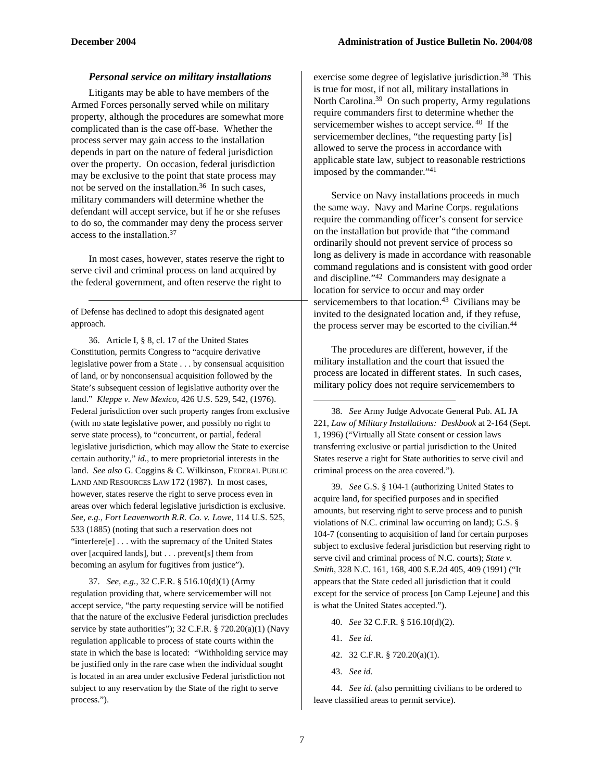-

#### *Personal service on military installations*

Litigants may be able to have members of the Armed Forces personally served while on military property, although the procedures are somewhat more complicated than is the case off-base. Whether the process server may gain access to the installation depends in part on the nature of federal jurisdiction over the property. On occasion, federal jurisdiction may be exclusive to the point that state process may not be served on the installation.<sup>36</sup> In such cases, military commanders will determine whether the defendant will accept service, but if he or she refuses to do so, the commander may deny the process server access to the installation.37

In most cases, however, states reserve the right to serve civil and criminal process on land acquired by the federal government, and often reserve the right to

of Defense has declined to adopt this designated agent approach.

36. Article I, § 8, cl. 17 of the United States Constitution, permits Congress to "acquire derivative legislative power from a State . . . by consensual acquisition of land, or by nonconsensual acquisition followed by the State's subsequent cession of legislative authority over the land." *Kleppe v. New Mexico,* 426 U.S. 529, 542, (1976). Federal jurisdiction over such property ranges from exclusive (with no state legislative power, and possibly no right to serve state process), to "concurrent, or partial, federal legislative jurisdiction, which may allow the State to exercise certain authority," *id.*, to mere proprietorial interests in the land. *See also* G. Coggins & C. Wilkinson, FEDERAL PUBLIC LAND AND RESOURCES LAW 172 (1987). In most cases, however, states reserve the right to serve process even in areas over which federal legislative jurisdiction is exclusive. *See, e.g., Fort Leavenworth R.R. Co. v. Lowe*, 114 U.S. 525, 533 (1885) (noting that such a reservation does not "interfere[e] . . . with the supremacy of the United States over [acquired lands], but . . . prevent[s] them from becoming an asylum for fugitives from justice").

37. *See, e.g.,* 32 C.F.R. § 516.10(d)(1) (Army regulation providing that, where servicemember will not accept service, "the party requesting service will be notified that the nature of the exclusive Federal jurisdiction precludes service by state authorities"); 32 C.F.R. § 720.20(a)(1) (Navy regulation applicable to process of state courts within the state in which the base is located: "Withholding service may be justified only in the rare case when the individual sought is located in an area under exclusive Federal jurisdiction not subject to any reservation by the State of the right to serve process.").

exercise some degree of legislative jurisdiction.<sup>38</sup> This is true for most, if not all, military installations in North Carolina.39 On such property, Army regulations require commanders first to determine whether the servicemember wishes to accept service. 40 If the servicemember declines, "the requesting party [is] allowed to serve the process in accordance with applicable state law, subject to reasonable restrictions imposed by the commander."41

Service on Navy installations proceeds in much the same way. Navy and Marine Corps. regulations require the commanding officer's consent for service on the installation but provide that "the command ordinarily should not prevent service of process so long as delivery is made in accordance with reasonable command regulations and is consistent with good order and discipline."42 Commanders may designate a location for service to occur and may order servicemembers to that location.<sup>43</sup> Civilians may be invited to the designated location and, if they refuse, the process server may be escorted to the civilian.<sup>44</sup>

The procedures are different, however, if the military installation and the court that issued the process are located in different states. In such cases, military policy does not require servicemembers to

38. *See* Army Judge Advocate General Pub. AL JA 221, *Law of Military Installations: Deskbook* at 2-164 (Sept. 1, 1996) ("Virtually all State consent or cession laws transferring exclusive or partial jurisdiction to the United States reserve a right for State authorities to serve civil and criminal process on the area covered.").

39. *See* G.S. § 104-1 (authorizing United States to acquire land, for specified purposes and in specified amounts, but reserving right to serve process and to punish violations of N.C. criminal law occurring on land); G.S. § 104-7 (consenting to acquisition of land for certain purposes subject to exclusive federal jurisdiction but reserving right to serve civil and criminal process of N.C. courts); *State v. Smith*, 328 N.C. 161, 168, 400 S.E.2d 405, 409 (1991) ("It appears that the State ceded all jurisdiction that it could except for the service of process [on Camp Lejeune] and this is what the United States accepted.").

- 40. *See* 32 C.F.R. § 516.10(d)(2).
- 41. *See id.*
- 42. 32 C.F.R. § 720.20(a)(1).
- 43. *See id.*

44. *See id.* (also permitting civilians to be ordered to leave classified areas to permit service).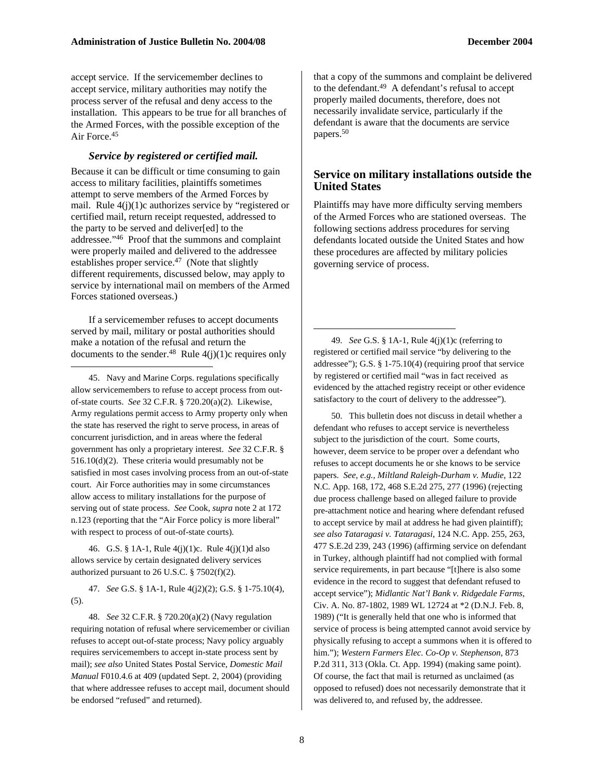accept service. If the servicemember declines to accept service, military authorities may notify the process server of the refusal and deny access to the installation. This appears to be true for all branches of the Armed Forces, with the possible exception of the Air Force.45

#### *Service by registered or certified mail.*

Because it can be difficult or time consuming to gain access to military facilities, plaintiffs sometimes attempt to serve members of the Armed Forces by mail. Rule  $4(j)(1)c$  authorizes service by "registered or certified mail, return receipt requested, addressed to the party to be served and deliver[ed] to the addressee."46 Proof that the summons and complaint were properly mailed and delivered to the addressee establishes proper service. $47$  (Note that slightly different requirements, discussed below, may apply to service by international mail on members of the Armed Forces stationed overseas.)

If a servicemember refuses to accept documents served by mail, military or postal authorities should make a notation of the refusal and return the documents to the sender.<sup>48</sup> Rule  $4(j)(1)c$  requires only

-

45. Navy and Marine Corps. regulations specifically allow servicemembers to refuse to accept process from outof-state courts. *See* 32 C.F.R. § 720.20(a)(2). Likewise, Army regulations permit access to Army property only when the state has reserved the right to serve process, in areas of concurrent jurisdiction, and in areas where the federal government has only a proprietary interest. *See* 32 C.F.R. § 516.10(d)(2). These criteria would presumably not be satisfied in most cases involving process from an out-of-state court. Air Force authorities may in some circumstances allow access to military installations for the purpose of serving out of state process. *See* Cook, *supra* note 2 at 172 n.123 (reporting that the "Air Force policy is more liberal" with respect to process of out-of-state courts).

46. G.S. § 1A-1, Rule 4(j)(1)c. Rule 4(j)(1)d also allows service by certain designated delivery services authorized pursuant to 26 U.S.C. § 7502(f)(2).

47. *See* G.S. § 1A-1, Rule 4(j2)(2); G.S. § 1-75.10(4), (5).

48. *See* 32 C.F.R. § 720.20(a)(2) (Navy regulation requiring notation of refusal where servicemember or civilian refuses to accept out-of-state process; Navy policy arguably requires servicemembers to accept in-state process sent by mail); *see also* United States Postal Service, *Domestic Mail Manual* F010.4.6 at 409 (updated Sept. 2, 2004) (providing that where addressee refuses to accept mail, document should be endorsed "refused" and returned).

that a copy of the summons and complaint be delivered to the defendant.<sup>49</sup> A defendant's refusal to accept properly mailed documents, therefore, does not necessarily invalidate service, particularly if the defendant is aware that the documents are service papers.50

#### **Service on military installations outside the United States**

Plaintiffs may have more difficulty serving members of the Armed Forces who are stationed overseas. The following sections address procedures for serving defendants located outside the United States and how these procedures are affected by military policies governing service of process.

49. *See* G.S. § 1A-1, Rule 4(j)(1)c (referring to registered or certified mail service "by delivering to the addressee"); G.S. § 1-75.10(4) (requiring proof that service by registered or certified mail "was in fact received as evidenced by the attached registry receipt or other evidence satisfactory to the court of delivery to the addressee").

50. This bulletin does not discuss in detail whether a defendant who refuses to accept service is nevertheless subject to the jurisdiction of the court. Some courts, however, deem service to be proper over a defendant who refuses to accept documents he or she knows to be service papers. *See, e.g., Miltland Raleigh-Durham v. Mudie*, 122 N.C. App. 168, 172, 468 S.E.2d 275, 277 (1996) (rejecting due process challenge based on alleged failure to provide pre-attachment notice and hearing where defendant refused to accept service by mail at address he had given plaintiff); *see also Tataragasi v. Tataragasi*, 124 N.C. App. 255, 263, 477 S.E.2d 239, 243 (1996) (affirming service on defendant in Turkey, although plaintiff had not complied with formal service requirements, in part because "[t]here is also some evidence in the record to suggest that defendant refused to accept service"); *Midlantic Nat'l Bank v. Ridgedale Farms*, Civ. A. No. 87-1802, 1989 WL 12724 at \*2 (D.N.J. Feb. 8, 1989) ("It is generally held that one who is informed that service of process is being attempted cannot avoid service by physically refusing to accept a summons when it is offered to him."); *Western Farmers Elec. Co-Op v. Stephenson*, 873 P.2d 311, 313 (Okla. Ct. App. 1994) (making same point). Of course, the fact that mail is returned as unclaimed (as opposed to refused) does not necessarily demonstrate that it was delivered to, and refused by, the addressee.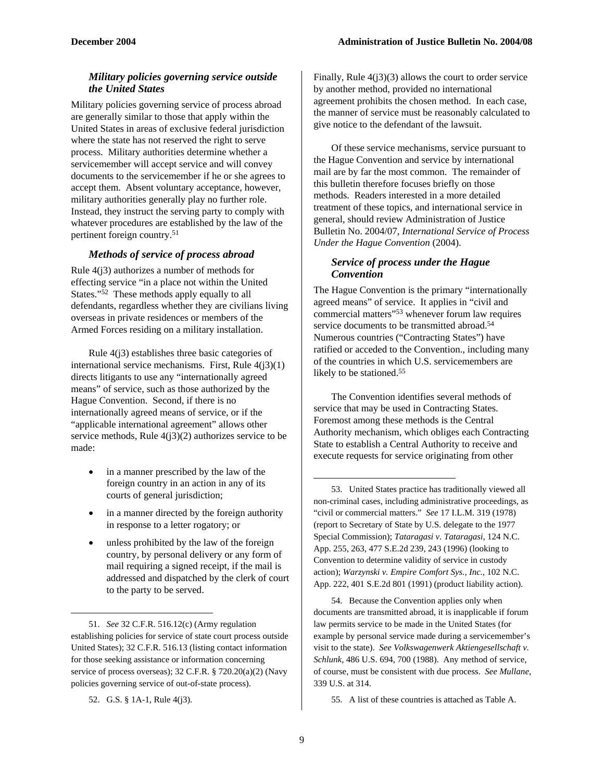#### *Military policies governing service outside the United States*

Military policies governing service of process abroad are generally similar to those that apply within the United States in areas of exclusive federal jurisdiction where the state has not reserved the right to serve process. Military authorities determine whether a servicemember will accept service and will convey documents to the servicemember if he or she agrees to accept them. Absent voluntary acceptance, however, military authorities generally play no further role. Instead, they instruct the serving party to comply with whatever procedures are established by the law of the pertinent foreign country.51

#### *Methods of service of process abroad*

Rule 4(j3) authorizes a number of methods for effecting service "in a place not within the United States."52 These methods apply equally to all defendants, regardless whether they are civilians living overseas in private residences or members of the Armed Forces residing on a military installation.

Rule 4(j3) establishes three basic categories of international service mechanisms. First, Rule  $4(i3)(1)$ directs litigants to use any "internationally agreed means" of service, such as those authorized by the Hague Convention. Second, if there is no internationally agreed means of service, or if the "applicable international agreement" allows other service methods, Rule 4(j3)(2) authorizes service to be made:

- in a manner prescribed by the law of the foreign country in an action in any of its courts of general jurisdiction;
- in a manner directed by the foreign authority in response to a letter rogatory; or
- unless prohibited by the law of the foreign country, by personal delivery or any form of mail requiring a signed receipt, if the mail is addressed and dispatched by the clerk of court to the party to be served.

52. G.S. § 1A-1, Rule 4(j3).

-

Finally, Rule  $4(j3)(3)$  allows the court to order service by another method, provided no international agreement prohibits the chosen method. In each case, the manner of service must be reasonably calculated to give notice to the defendant of the lawsuit.

Of these service mechanisms, service pursuant to the Hague Convention and service by international mail are by far the most common. The remainder of this bulletin therefore focuses briefly on those methods. Readers interested in a more detailed treatment of these topics, and international service in general, should review Administration of Justice Bulletin No. 2004/07, *International Service of Process Under the Hague Convention* (2004).

#### *Service of process under the Hague Convention*

The Hague Convention is the primary "internationally agreed means" of service. It applies in "civil and commercial matters"<sup>53</sup> whenever forum law requires service documents to be transmitted abroad.54 Numerous countries ("Contracting States") have ratified or acceded to the Convention., including many of the countries in which U.S. servicemembers are likely to be stationed.<sup>55</sup>

The Convention identifies several methods of service that may be used in Contracting States. Foremost among these methods is the Central Authority mechanism, which obliges each Contracting State to establish a Central Authority to receive and execute requests for service originating from other

53. United States practice has traditionally viewed all non-criminal cases, including administrative proceedings, as "civil or commercial matters." *See* 17 I.L.M. 319 (1978) (report to Secretary of State by U.S. delegate to the 1977 Special Commission); *Tataragasi v. Tataragasi*, 124 N.C. App. 255, 263, 477 S.E.2d 239, 243 (1996) (looking to Convention to determine validity of service in custody action); *Warzynski v. Empire Comfort Sys., Inc.*, 102 N.C. App. 222, 401 S.E.2d 801 (1991) (product liability action).

54. Because the Convention applies only when documents are transmitted abroad, it is inapplicable if forum law permits service to be made in the United States (for example by personal service made during a servicemember's visit to the state). *See Volkswagenwerk Aktiengesellschaft v. Schlunk*, 486 U.S. 694, 700 (1988). Any method of service, of course, must be consistent with due process. *See Mullane*, 339 U.S. at 314.

55. A list of these countries is attached as Table A.

<sup>51.</sup> *See* 32 C.F.R. 516.12(c) (Army regulation establishing policies for service of state court process outside United States); 32 C.F.R. 516.13 (listing contact information for those seeking assistance or information concerning service of process overseas); 32 C.F.R. § 720.20(a)(2) (Navy policies governing service of out-of-state process).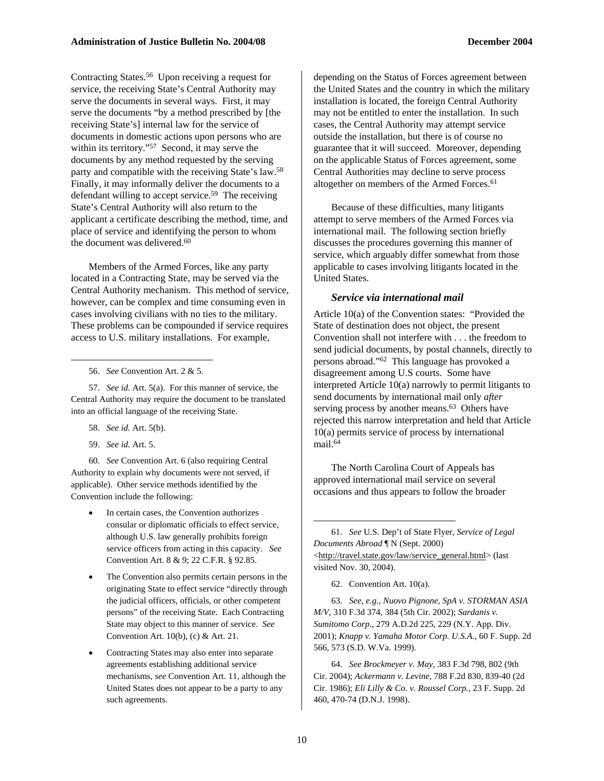Contracting States.56 Upon receiving a request for service, the receiving State's Central Authority may serve the documents in several ways. First, it may serve the documents "by a method prescribed by [the receiving State's] internal law for the service of documents in domestic actions upon persons who are within its territory."<sup>57</sup> Second, it may serve the documents by any method requested by the serving party and compatible with the receiving State's law.58 Finally, it may informally deliver the documents to a defendant willing to accept service.59 The receiving State's Central Authority will also return to the applicant a certificate describing the method, time, and place of service and identifying the person to whom the document was delivered.<sup>60</sup>

Members of the Armed Forces, like any party located in a Contracting State, may be served via the Central Authority mechanism. This method of service, however, can be complex and time consuming even in cases involving civilians with no ties to the military. These problems can be compounded if service requires access to U.S. military installations. For example,

56. *See* Convention Art. 2 & 5.

57. *See id.* Art. 5(a). For this manner of service, the Central Authority may require the document to be translated into an official language of the receiving State.

58. *See id.* Art. 5(b).

 $\overline{a}$ 

59. *See id.* Art. 5.

60. *See* Convention Art. 6 (also requiring Central Authority to explain why documents were not served, if applicable). Other service methods identified by the Convention include the following:

- In certain cases, the Convention authorizes consular or diplomatic officials to effect service, although U.S. law generally prohibits foreign service officers from acting in this capacity. *See* Convention Art. 8 & 9; 22 C.F.R. § 92.85.
- The Convention also permits certain persons in the originating State to effect service "directly through the judicial officers, officials, or other competent persons" of the receiving State. Each Contracting State may object to this manner of service. *See* Convention Art. 10(b), (c) & Art. 21.
- Contracting States may also enter into separate agreements establishing additional service mechanisms, *see* Convention Art. 11, although the United States does not appear to be a party to any such agreements.

depending on the Status of Forces agreement between the United States and the country in which the military installation is located, the foreign Central Authority may not be entitled to enter the installation. In such cases, the Central Authority may attempt service outside the installation, but there is of course no guarantee that it will succeed. Moreover, depending on the applicable Status of Forces agreement, some Central Authorities may decline to serve process altogether on members of the Armed Forces.<sup>61</sup>

Because of these difficulties, many litigants attempt to serve members of the Armed Forces via international mail. The following section briefly discusses the procedures governing this manner of service, which arguably differ somewhat from those applicable to cases involving litigants located in the United States.

#### *Service via international mail*

Article 10(a) of the Convention states: "Provided the State of destination does not object, the present Convention shall not interfere with . . . the freedom to send judicial documents, by postal channels, directly to persons abroad."62 This language has provoked a disagreement among U.S courts. Some have interpreted Article 10(a) narrowly to permit litigants to send documents by international mail only *after* serving process by another means.<sup>63</sup> Others have rejected this narrow interpretation and held that Article 10(a) permits service of process by international mail.<sup>64</sup>

The North Carolina Court of Appeals has approved international mail service on several occasions and thus appears to follow the broader

61. *See* U.S. Dep't of State Flyer, *Service of Legal Documents Abroad* ¶ N (Sept. 2000) <http://travel.state.gov/law/service\_general.html> (last visited Nov. 30, 2004).

62. Convention Art. 10(a).

63. *See, e.g., Nuovo Pignone, SpA v. STORMAN ASIA M/V*, 310 F.3d 374, 384 (5th Cir. 2002); *Sardanis v. Sumitomo Corp.*, 279 A.D.2d 225, 229 (N.Y. App. Div. 2001); *Knapp v. Yamaha Motor Corp. U.S.A.*, 60 F. Supp. 2d 566, 573 (S.D. W.Va. 1999).

64. *See Brockmeyer v. May*, 383 F.3d 798, 802 (9th Cir. 2004); *Ackermann v. Levine*, 788 F.2d 830, 839-40 (2d Cir. 1986); *Eli Lilly & Co. v. Roussel Corp.*, 23 F. Supp. 2d 460, 470-74 (D.N.J. 1998).

-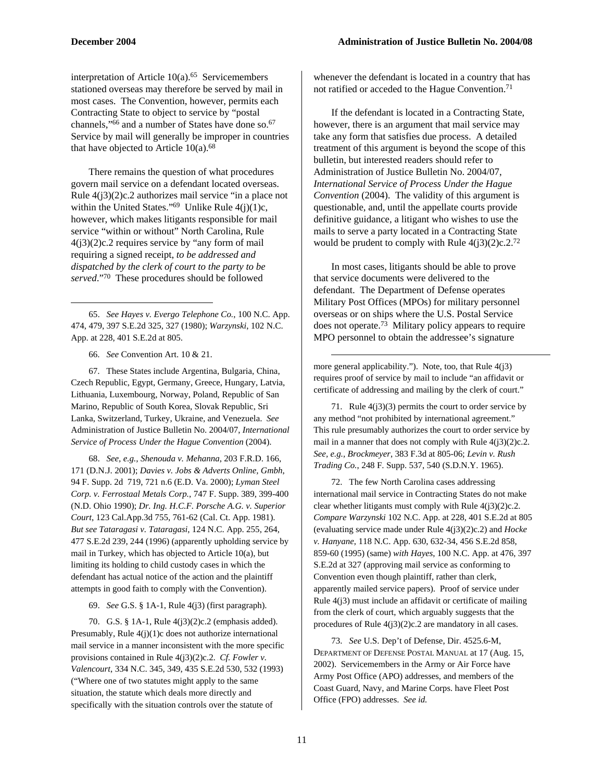1

interpretation of Article  $10(a)$ .<sup>65</sup> Servicemembers stationed overseas may therefore be served by mail in most cases. The Convention, however, permits each Contracting State to object to service by "postal channels,"<sup>66</sup> and a number of States have done so.<sup>67</sup> Service by mail will generally be improper in countries that have objected to Article  $10(a)$ .<sup>68</sup>

There remains the question of what procedures govern mail service on a defendant located overseas. Rule 4(j3)(2)c.2 authorizes mail service "in a place not within the United States."<sup>69</sup> Unlike Rule  $4(j)(1)c$ , however, which makes litigants responsible for mail service "within or without" North Carolina, Rule 4(j3)(2)c.2 requires service by "any form of mail requiring a signed receipt, *to be addressed and dispatched by the clerk of court to the party to be served*."70 These procedures should be followed

65. *See Hayes v. Evergo Telephone Co.*, 100 N.C. App. 474, 479, 397 S.E.2d 325, 327 (1980); *Warzynski*, 102 N.C. App. at 228, 401 S.E.2d at 805.

66. *See* Convention Art. 10 & 21.

67. These States include Argentina, Bulgaria, China, Czech Republic, Egypt, Germany, Greece, Hungary, Latvia, Lithuania, Luxembourg, Norway, Poland, Republic of San Marino, Republic of South Korea, Slovak Republic, Sri Lanka, Switzerland, Turkey, Ukraine, and Venezuela. *See* Administration of Justice Bulletin No. 2004/07, *International Service of Process Under the Hague Convention* (2004).

68. *See, e.g., Shenouda v. Mehanna*, 203 F.R.D. 166, 171 (D.N.J. 2001); *Davies v. Jobs & Adverts Online, Gmbh*, 94 F. Supp. 2d 719, 721 n.6 (E.D. Va. 2000); *Lyman Steel Corp. v. Ferrostaal Metals Corp.*, 747 F. Supp. 389, 399-400 (N.D. Ohio 1990); *Dr. Ing. H.C.F. Porsche A.G. v. Superior Court*, 123 Cal.App.3d 755, 761-62 (Cal. Ct. App. 1981). *But see Tataragasi v. Tataragasi*, 124 N.C. App. 255, 264, 477 S.E.2d 239, 244 (1996) (apparently upholding service by mail in Turkey, which has objected to Article 10(a), but limiting its holding to child custody cases in which the defendant has actual notice of the action and the plaintiff attempts in good faith to comply with the Convention).

69. *See* G.S. § 1A-1, Rule 4(j3) (first paragraph).

70. G.S. § 1A-1, Rule 4(j3)(2)c.2 (emphasis added). Presumably, Rule 4(j)(1)c does not authorize international mail service in a manner inconsistent with the more specific provisions contained in Rule 4(j3)(2)c.2. *Cf. Fowler v. Valencourt*, 334 N.C. 345, 349, 435 S.E.2d 530, 532 (1993) ("Where one of two statutes might apply to the same situation, the statute which deals more directly and specifically with the situation controls over the statute of

whenever the defendant is located in a country that has not ratified or acceded to the Hague Convention.<sup>71</sup>

If the defendant is located in a Contracting State, however, there is an argument that mail service may take any form that satisfies due process. A detailed treatment of this argument is beyond the scope of this bulletin, but interested readers should refer to Administration of Justice Bulletin No. 2004/07, *International Service of Process Under the Hague Convention* (2004). The validity of this argument is questionable, and, until the appellate courts provide definitive guidance, a litigant who wishes to use the mails to serve a party located in a Contracting State would be prudent to comply with Rule  $4(j3)(2)c.2<sup>72</sup>$ 

In most cases, litigants should be able to prove that service documents were delivered to the defendant. The Department of Defense operates Military Post Offices (MPOs) for military personnel overseas or on ships where the U.S. Postal Service does not operate.73 Military policy appears to require MPO personnel to obtain the addressee's signature

more general applicability."). Note, too, that Rule 4(j3) requires proof of service by mail to include "an affidavit or certificate of addressing and mailing by the clerk of court."

-

71. Rule 4(j3)(3) permits the court to order service by any method "not prohibited by international agreement." This rule presumably authorizes the court to order service by mail in a manner that does not comply with Rule  $4(j3)(2)c.2$ . *See, e.g., Brockmeyer*, 383 F.3d at 805-06; *Levin v. Rush Trading Co.*, 248 F. Supp. 537, 540 (S.D.N.Y. 1965).

72. The few North Carolina cases addressing international mail service in Contracting States do not make clear whether litigants must comply with Rule  $4(j3)(2)c.2$ . *Compare Warzynski* 102 N.C. App. at 228, 401 S.E.2d at 805 (evaluating service made under Rule 4(j3)(2)c.2) and *Hocke v. Hanyane*, 118 N.C. App. 630, 632-34, 456 S.E.2d 858, 859-60 (1995) (same) *with Hayes*, 100 N.C. App. at 476, 397 S.E.2d at 327 (approving mail service as conforming to Convention even though plaintiff, rather than clerk, apparently mailed service papers). Proof of service under Rule 4(j3) must include an affidavit or certificate of mailing from the clerk of court, which arguably suggests that the procedures of Rule 4(j3)(2)c.2 are mandatory in all cases.

73. *See* U.S. Dep't of Defense, Dir. 4525.6-M, DEPARTMENT OF DEFENSE POSTAL MANUAL at 17 (Aug. 15, 2002). Servicemembers in the Army or Air Force have Army Post Office (APO) addresses, and members of the Coast Guard, Navy, and Marine Corps. have Fleet Post Office (FPO) addresses. *See id.*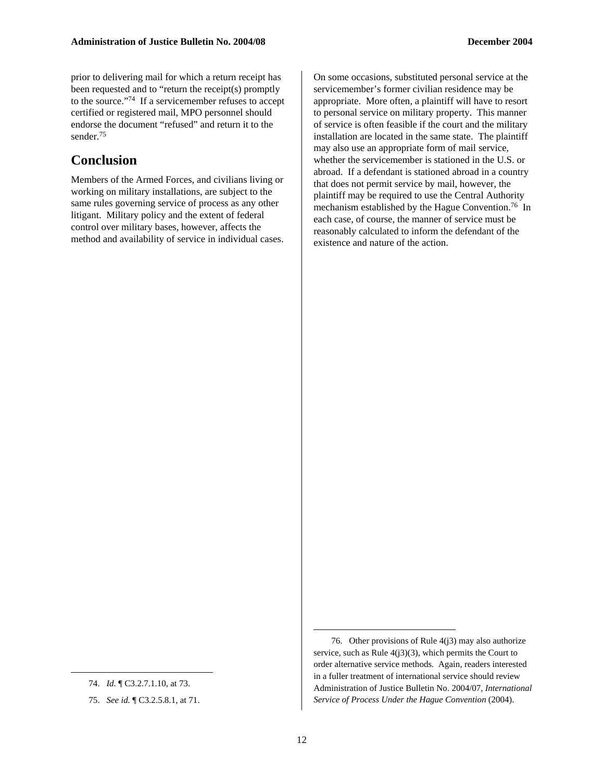prior to delivering mail for which a return receipt has been requested and to "return the receipt(s) promptly to the source."74 If a servicemember refuses to accept certified or registered mail, MPO personnel should endorse the document "refused" and return it to the sender.75

### **Conclusion**

Members of the Armed Forces, and civilians living or working on military installations, are subject to the same rules governing service of process as any other litigant. Military policy and the extent of federal control over military bases, however, affects the method and availability of service in individual cases. On some occasions, substituted personal service at the servicemember's former civilian residence may be appropriate. More often, a plaintiff will have to resort to personal service on military property. This manner of service is often feasible if the court and the military installation are located in the same state. The plaintiff may also use an appropriate form of mail service, whether the servicemember is stationed in the U.S. or abroad. If a defendant is stationed abroad in a country that does not permit service by mail, however, the plaintiff may be required to use the Central Authority mechanism established by the Hague Convention.76 In each case, of course, the manner of service must be reasonably calculated to inform the defendant of the existence and nature of the action.

 $\overline{a}$ 

-

<sup>74.</sup> *Id.* ¶ C3.2.7.1.10, at 73.

<sup>75.</sup> *See id.* ¶ C3.2.5.8.1, at 71.

<sup>76.</sup> Other provisions of Rule 4(j3) may also authorize service, such as Rule  $4(13)(3)$ , which permits the Court to order alternative service methods. Again, readers interested in a fuller treatment of international service should review Administration of Justice Bulletin No. 2004/07, *International Service of Process Under the Hague Convention* (2004).